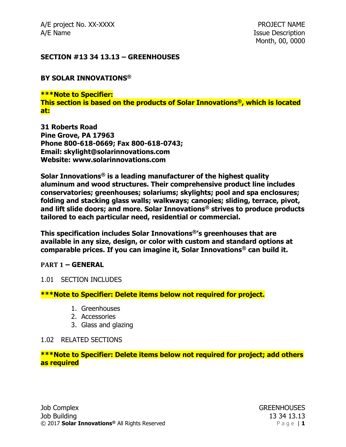A/E project No. XX-XXXX **PROJECT NAME** A/E Name **Issue Description** 

### **SECTION #13 34 13.13 – GREENHOUSES**

#### **BY SOLAR INNOVATIONS®**

**\*\*\*Note to Specifier: This section is based on the products of Solar Innovations®, which is located at:**

**31 Roberts Road Pine Grove, PA 17963 Phone 800-618-0669; Fax 800-618-0743; Email: skylight@solarinnovations.com Website: www.solarinnovations.com**

**Solar Innovations® is a leading manufacturer of the highest quality aluminum and wood structures. Their comprehensive product line includes conservatories; greenhouses; solariums; skylights; pool and spa enclosures; folding and stacking glass walls; walkways; canopies; sliding, terrace, pivot, and lift slide doors; and more. Solar Innovations® strives to produce products tailored to each particular need, residential or commercial.**

**This specification includes Solar Innovations®'s greenhouses that are available in any size, design, or color with custom and standard options at comparable prices. If you can imagine it, Solar Innovations® can build it.**

#### **PART 1 – GENERAL**

#### 1.01 SECTION INCLUDES

### **\*\*\*Note to Specifier: Delete items below not required for project.**

- 1. Greenhouses
- 2. Accessories
- 3. Glass and glazing

#### 1.02 RELATED SECTIONS

### **\*\*\*Note to Specifier: Delete items below not required for project; add others as required**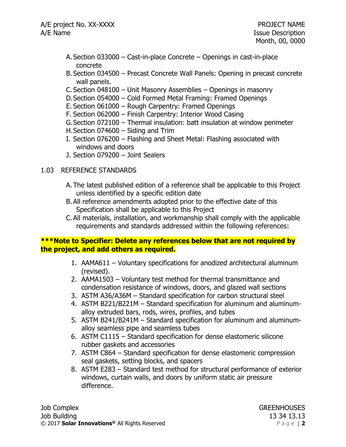- A. Section 033000 Cast-in-place Concrete Openings in cast-in-place concrete
- B. Section 034500 Precast Concrete Wall Panels: Opening in precast concrete wall panels.
- C. Section 048100 Unit Masonry Assemblies Openings in masonry
- D.Section 054000 Cold Formed Metal Framing: Framed Openings
- E. Section 061000 Rough Carpentry: Framed Openings
- F. Section 062000 Finish Carpentry: Interior Wood Casing
- G.Section 072100 Thermal insulation: batt insulation at window perimeter
- H.Section 074600 Siding and Trim
- I. Section 076200 Flashing and Sheet Metal: Flashing associated with windows and doors
- J. Section 079200 Joint Sealers

### 1.03 REFERENCE STANDARDS

- A. The latest published edition of a reference shall be applicable to this Project unless identified by a specific edition date
- B. All reference amendments adopted prior to the effective date of this Specification shall be applicable to this Project
- C.All materials, installation, and workmanship shall comply with the applicable requirements and standards addressed within the following references:

# **\*\*\*Note to Specifier: Delete any references below that are not required by the project, and add others as required.**

- 1. AAMA611 Voluntary specifications for anodized architectural aluminum (revised).
- 2. AAMA1503 Voluntary test method for thermal transmittance and condensation resistance of windows, doors, and glazed wall sections
- 3. ASTM A36/A36M Standard specification for carbon structural steel
- 4. ASTM B221/B221M Standard specification for aluminum and aluminumalloy extruded bars, rods, wires, profiles, and tubes
- 5. ASTM B241/B241M Standard specification for aluminum and aluminumalloy seamless pipe and seamless tubes
- 6. ASTM C1115 Standard specification for dense elastomeric silicone rubber gaskets and accessories
- 7. ASTM C864 Standard specification for dense elastomeric compression seal gaskets, setting blocks, and spacers
- 8. ASTM E283 Standard test method for structural performance of exterior windows, curtain walls, and doors by uniform static air pressure difference.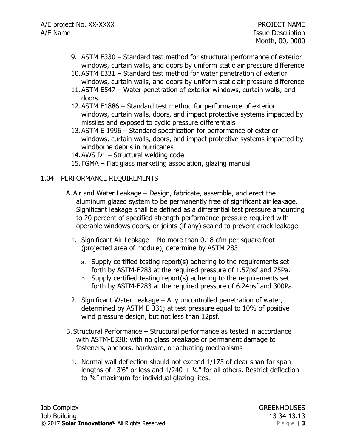- 9. ASTM E330 Standard test method for structural performance of exterior windows, curtain walls, and doors by uniform static air pressure difference
- 10.ASTM E331 Standard test method for water penetration of exterior windows, curtain walls, and doors by uniform static air pressure difference
- 11.ASTM E547 Water penetration of exterior windows, curtain walls, and doors.
- 12.ASTM E1886 Standard test method for performance of exterior windows, curtain walls, doors, and impact protective systems impacted by missiles and exposed to cyclic pressure differentials
- 13.ASTM E 1996 Standard specification for performance of exterior windows, curtain walls, doors, and impact protective systems impacted by windborne debris in hurricanes
- 14.AWS D1 Structural welding code
- 15.FGMA Flat glass marketing association, glazing manual

### 1.04 PERFORMANCE REQUIREMENTS

- A.Air and Water Leakage Design, fabricate, assemble, and erect the aluminum glazed system to be permanently free of significant air leakage. Significant leakage shall be defined as a differential test pressure amounting to 20 percent of specified strength performance pressure required with operable windows doors, or joints (if any) sealed to prevent crack leakage.
	- 1. Significant Air Leakage No more than 0.18 cfm per square foot (projected area of module), determine by ASTM 283
		- a. Supply certified testing report(s) adhering to the requirements set forth by ASTM-E283 at the required pressure of 1.57psf and 75Pa.
		- b. Supply certified testing report(s) adhering to the requirements set forth by ASTM-E283 at the required pressure of 6.24psf and 300Pa.
	- 2. Significant Water Leakage Any uncontrolled penetration of water, determined by ASTM E 331; at test pressure equal to 10% of positive wind pressure design, but not less than 12psf.
- B. Structural Performance Structural performance as tested in accordance with ASTM-E330; with no glass breakage or permanent damage to fasteners, anchors, hardware, or actuating mechanisms
	- 1. Normal wall deflection should not exceed 1/175 of clear span for span lengths of 13'6" or less and  $1/240 + 1/4$ " for all others. Restrict deflection to ¾" maximum for individual glazing lites.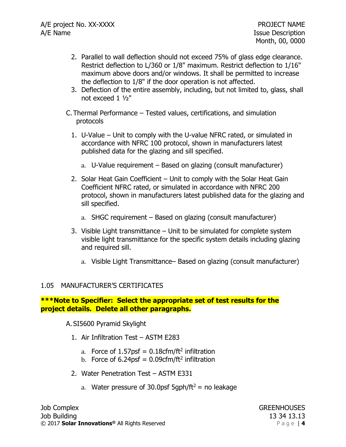- 2. Parallel to wall deflection should not exceed 75% of glass edge clearance. Restrict deflection to L/360 or 1/8" maximum. Restrict deflection to 1/16" maximum above doors and/or windows. It shall be permitted to increase the deflection to 1/8" if the door operation is not affected.
- 3. Deflection of the entire assembly, including, but not limited to, glass, shall not exceed 1 ½"
- C. Thermal Performance Tested values, certifications, and simulation protocols
	- 1. U-Value Unit to comply with the U-value NFRC rated, or simulated in accordance with NFRC 100 protocol, shown in manufacturers latest published data for the glazing and sill specified.
		- a. U-Value requirement Based on glazing (consult manufacturer)
	- 2. Solar Heat Gain Coefficient Unit to comply with the Solar Heat Gain Coefficient NFRC rated, or simulated in accordance with NFRC 200 protocol, shown in manufacturers latest published data for the glazing and sill specified.
		- a. SHGC requirement Based on glazing (consult manufacturer)
	- 3. Visible Light transmittance Unit to be simulated for complete system visible light transmittance for the specific system details including glazing and required sill.
		- a. Visible Light Transmittance– Based on glazing (consult manufacturer)

### 1.05 MANUFACTURER'S CERTIFICATES

### **\*\*\*Note to Specifier: Select the appropriate set of test results for the project details. Delete all other paragraphs.**

A. SI5600 Pyramid Skylight

- 1. Air Infiltration Test ASTM E283
	- a. Force of  $1.57$ psf = 0.18cfm/ft<sup>2</sup> infiltration
	- b. Force of 6.24psf =  $0.09$ cfm/ft<sup>2</sup> infiltration
- 2. Water Penetration Test ASTM E331
	- a. Water pressure of 30.0psf 5qph/ft<sup>2</sup> = no leakage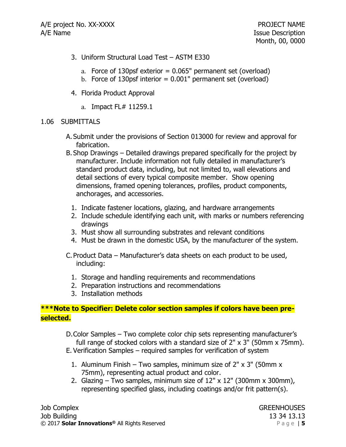- 3. Uniform Structural Load Test ASTM E330
	- a. Force of 130psf exterior  $= 0.065$ " permanent set (overload)
	- b. Force of 130 psf interior  $= 0.001$ " permanent set (overload)
- 4. Florida Product Approval
	- a. Impact FL# 11259.1

### 1.06 SUBMITTALS

- A. Submit under the provisions of Section 013000 for review and approval for fabrication.
- B. Shop Drawings Detailed drawings prepared specifically for the project by manufacturer. Include information not fully detailed in manufacturer's standard product data, including, but not limited to, wall elevations and detail sections of every typical composite member. Show opening dimensions, framed opening tolerances, profiles, product components, anchorages, and accessories.
	- 1. Indicate fastener locations, glazing, and hardware arrangements
	- 2. Include schedule identifying each unit, with marks or numbers referencing drawings
	- 3. Must show all surrounding substrates and relevant conditions
	- 4. Must be drawn in the domestic USA, by the manufacturer of the system.
- C. Product Data Manufacturer's data sheets on each product to be used, including:
	- 1. Storage and handling requirements and recommendations
	- 2. Preparation instructions and recommendations
	- 3. Installation methods

# **\*\*\*Note to Specifier: Delete color section samples if colors have been preselected.**

- D.Color Samples Two complete color chip sets representing manufacturer's full range of stocked colors with a standard size of 2" x 3" (50mm x 75mm).
- E. Verification Samples required samples for verification of system
	- 1. Aluminum Finish Two samples, minimum size of 2" x 3" (50mm x 75mm), representing actual product and color.
	- 2. Glazing Two samples, minimum size of  $12" \times 12"$  (300mm x 300mm), representing specified glass, including coatings and/or frit pattern(s).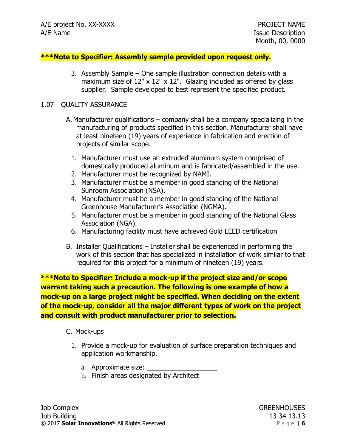#### **\*\*\*Note to Specifier: Assembly sample provided upon request only.**

3. Assembly Sample – One sample illustration connection details with a maximum size of  $12" \times 12" \times 12"$ . Glazing included as offered by glass supplier. Sample developed to best represent the specified product.

#### 1.07 QUALITY ASSURANCE

- A.Manufacturer qualifications company shall be a company specializing in the manufacturing of products specified in this section. Manufacturer shall have at least nineteen (19) years of experience in fabrication and erection of projects of similar scope.
	- 1. Manufacturer must use an extruded aluminum system comprised of domestically produced aluminum and is fabricated/assembled in the use.
	- 2. Manufacturer must be recognized by NAMI.
	- 3. Manufacturer must be a member in good standing of the National Sunroom Association (NSA).
	- 4. Manufacturer must be a member in good standing of the National Greenhouse Manufacturer's Association (NGMA).
	- 5. Manufacturer must be a member in good standing of the National Glass Association (NGA).
	- 6. Manufacturing facility must have achieved Gold LEED certification
- B. Installer Qualifications Installer shall be experienced in performing the work of this section that has specialized in installation of work similar to that required for this project for a minimum of nineteen (19) years.

**\*\*\*Note to Specifier: Include a mock-up if the project size and/or scope warrant taking such a precaution. The following is one example of how a mock-up on a large project might be specified. When deciding on the extent of the mock-up, consider all the major different types of work on the project and consult with product manufacturer prior to selection.**

#### C. Mock-ups

- 1. Provide a mock-up for evaluation of surface preparation techniques and application workmanship.
	- a. Approximate size: \_\_\_\_\_\_\_\_\_\_\_\_\_\_\_\_\_\_\_
	- b. Finish areas designated by Architect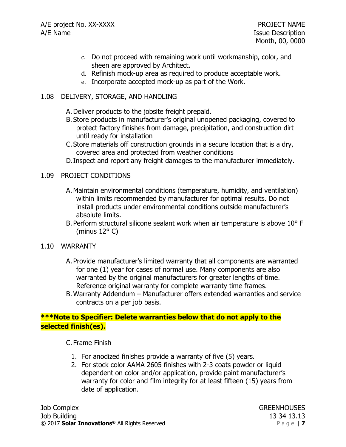- c. Do not proceed with remaining work until workmanship, color, and sheen are approved by Architect.
- d. Refinish mock-up area as required to produce acceptable work.
- e. Incorporate accepted mock-up as part of the Work.

### 1.08 DELIVERY, STORAGE, AND HANDLING

- A.Deliver products to the jobsite freight prepaid.
- B. Store products in manufacturer's original unopened packaging, covered to protect factory finishes from damage, precipitation, and construction dirt until ready for installation
- C. Store materials off construction grounds in a secure location that is a dry, covered area and protected from weather conditions
- D.Inspect and report any freight damages to the manufacturer immediately.

### 1.09 PROJECT CONDITIONS

- A.Maintain environmental conditions (temperature, humidity, and ventilation) within limits recommended by manufacturer for optimal results. Do not install products under environmental conditions outside manufacturer's absolute limits.
- B. Perform structural silicone sealant work when air temperature is above 10° F (minus 12° C)

### 1.10 WARRANTY

- A. Provide manufacturer's limited warranty that all components are warranted for one (1) year for cases of normal use. Many components are also warranted by the original manufacturers for greater lengths of time. Reference original warranty for complete warranty time frames.
- B. Warranty Addendum Manufacturer offers extended warranties and service contracts on a per job basis.

# **\*\*\*Note to Specifier: Delete warranties below that do not apply to the selected finish(es).**

C. Frame Finish

- 1. For anodized finishes provide a warranty of five (5) years.
- 2. For stock color AAMA 2605 finishes with 2-3 coats powder or liquid dependent on color and/or application, provide paint manufacturer's warranty for color and film integrity for at least fifteen (15) years from date of application.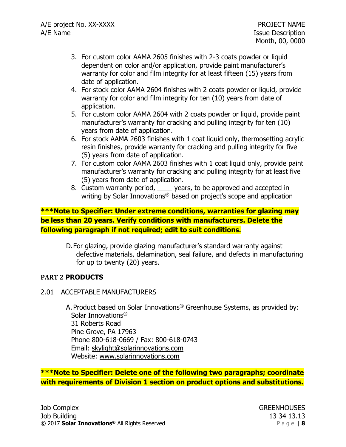- 3. For custom color AAMA 2605 finishes with 2-3 coats powder or liquid dependent on color and/or application, provide paint manufacturer's warranty for color and film integrity for at least fifteen (15) years from date of application.
- 4. For stock color AAMA 2604 finishes with 2 coats powder or liquid, provide warranty for color and film integrity for ten (10) years from date of application.
- 5. For custom color AAMA 2604 with 2 coats powder or liquid, provide paint manufacturer's warranty for cracking and pulling integrity for ten (10) years from date of application.
- 6. For stock AAMA 2603 finishes with 1 coat liquid only, thermosetting acrylic resin finishes, provide warranty for cracking and pulling integrity for five (5) years from date of application.
- 7. For custom color AAMA 2603 finishes with 1 coat liquid only, provide paint manufacturer's warranty for cracking and pulling integrity for at least five (5) years from date of application.
- 8. Custom warranty period, \_\_\_\_ years, to be approved and accepted in writing by Solar Innovations® based on project's scope and application

# **\*\*\*Note to Specifier: Under extreme conditions, warranties for glazing may be less than 20 years. Verify conditions with manufacturers. Delete the following paragraph if not required; edit to suit conditions.**

D.For glazing, provide glazing manufacturer's standard warranty against defective materials, delamination, seal failure, and defects in manufacturing for up to twenty (20) years.

# **PART 2 PRODUCTS**

2.01 ACCEPTABLE MANUFACTURERS

A. Product based on Solar Innovations® Greenhouse Systems, as provided by: Solar Innovations® 31 Roberts Road Pine Grove, PA 17963 Phone 800-618-0669 / Fax: 800-618-0743 Email: [skylight@solarinnovations.com](mailto:skylight@solarinnovations.com) Website: [www.solarinnovations.com](http://www.solarinnovations.com/)

**\*\*\*Note to Specifier: Delete one of the following two paragraphs; coordinate with requirements of Division 1 section on product options and substitutions.**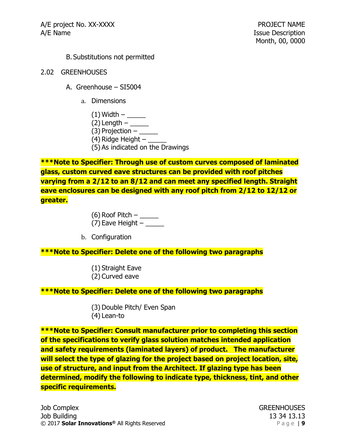#### B. Substitutions not permitted

- 2.02 GREENHOUSES
	- A. Greenhouse SI5004
		- a. Dimensions
			- (1) Width \_\_\_\_\_
			- $(2)$  Length  $-$  \_\_\_\_\_\_\_\_
			- $(3)$  Projection  $\_\_$
			- (4) Ridge Height  $-$
			- (5) As indicated on the Drawings

**\*\*\*Note to Specifier: Through use of custom curves composed of laminated glass, custom curved eave structures can be provided with roof pitches varying from a 2/12 to an 8/12 and can meet any specified length. Straight eave enclosures can be designed with any roof pitch from 2/12 to 12/12 or greater.**

> (6) Roof Pitch  $-\underline{\hspace{2cm}}$ (7) Eave Height  $-$  \_\_\_\_\_\_

b. Configuration

### **\*\*\*Note to Specifier: Delete one of the following two paragraphs**

- (1) Straight Eave
- (2) Curved eave

### **\*\*\*Note to Specifier: Delete one of the following two paragraphs**

- (3) Double Pitch/ Even Span
- (4) Lean-to

**\*\*\*Note to Specifier: Consult manufacturer prior to completing this section of the specifications to verify glass solution matches intended application and safety requirements (laminated layers) of product. The manufacturer will select the type of glazing for the project based on project location, site, use of structure, and input from the Architect. If glazing type has been determined, modify the following to indicate type, thickness, tint, and other specific requirements.**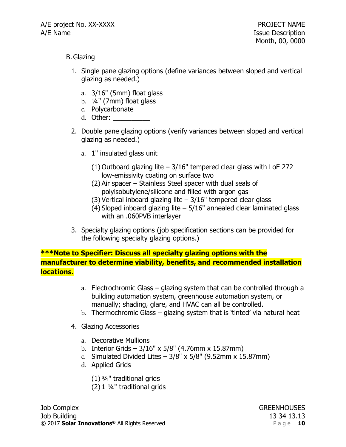### B.Glazing

- 1. Single pane glazing options (define variances between sloped and vertical glazing as needed.)
	- a. 3/16" (5mm) float glass
	- b. ¼" (7mm) float glass
	- c. Polycarbonate
	- d. Other: \_\_\_\_\_\_\_\_\_\_
- 2. Double pane glazing options (verify variances between sloped and vertical glazing as needed.)
	- a. 1" insulated glass unit
		- (1) Outboard glazing lite  $-3/16$ " tempered clear glass with LoE 272 low-emissivity coating on surface two
		- (2) Air spacer Stainless Steel spacer with dual seals of polyisobutylene/silicone and filled with argon gas
		- (3) Vertical inboard glazing lite  $-3/16$ " tempered clear glass
		- (4) Sloped inboard glazing lite 5/16" annealed clear laminated glass with an .060PVB interlayer
- 3. Specialty glazing options (job specification sections can be provided for the following specialty glazing options.)

**\*\*\*Note to Specifier: Discuss all specialty glazing options with the manufacturer to determine viability, benefits, and recommended installation locations.**

- a. Electrochromic Glass glazing system that can be controlled through a building automation system, greenhouse automation system, or manually; shading, glare, and HVAC can all be controlled.
- b. Thermochromic Glass glazing system that is 'tinted' via natural heat
- 4. Glazing Accessories
	- a. Decorative Mullions
	- b. Interior Grids  $3/16''$  x  $5/8''$  (4.76mm x 15.87mm)
	- c. Simulated Divided Lites  $-3/8$ " x 5/8" (9.52mm x 15.87mm)
	- d. Applied Grids
		- (1) ¾" traditional grids
		- (2) 1 ¼" traditional grids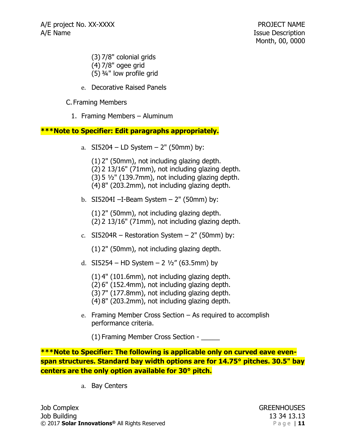- (3) 7/8" colonial grids
- (4) 7/8" ogee grid
- (5) ¾" low profile grid
- e. Decorative Raised Panels

C. Framing Members

1. Framing Members – Aluminum

# **\*\*\*Note to Specifier: Edit paragraphs appropriately.**

- a.  $SI5204 LD$  System  $2"$  (50mm) by:
	- (1) 2" (50mm), not including glazing depth.
	- (2) 2 13/16" (71mm), not including glazing depth.
	- $(3)$  5  $\frac{1}{2}$ " (139.7mm), not including glazing depth.
	- (4) 8" (203.2mm), not including glazing depth.
- b. SI5204I  $-I$ -Beam System  $-2$ " (50mm) by:
	- (1) 2" (50mm), not including glazing depth.
	- (2) 2 13/16" (71mm), not including glazing depth.
- c.  $SI5204R Restoration System 2" (50mm) by:$ 
	- (1) 2" (50mm), not including glazing depth.
- d. SI5254 HD System 2  $\frac{1}{2}$ " (63.5mm) by
	- (1) 4" (101.6mm), not including glazing depth.
	- (2) 6" (152.4mm), not including glazing depth.
	- (3) 7" (177.8mm), not including glazing depth.
	- (4) 8" (203.2mm), not including glazing depth.
- e. Framing Member Cross Section As required to accomplish performance criteria.
	- (1) Framing Member Cross Section \_\_\_\_\_

**\*\*\*Note to Specifier: The following is applicable only on curved eave evenspan structures. Standard bay width options are for 14.75° pitches. 30.5" bay centers are the only option available for 30° pitch.**

a. Bay Centers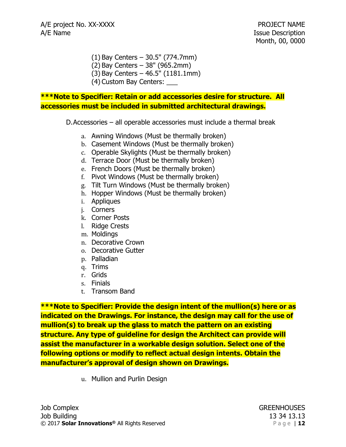- (1) Bay Centers 30.5" (774.7mm)
- (2) Bay Centers 38" (965.2mm)
- (3) Bay Centers 46.5" (1181.1mm)
- (4) Custom Bay Centers: \_\_\_

### **\*\*\*Note to Specifier: Retain or add accessories desire for structure. All accessories must be included in submitted architectural drawings.**

D.Accessories – all operable accessories must include a thermal break

- a. Awning Windows (Must be thermally broken)
- b. Casement Windows (Must be thermally broken)
- c. Operable Skylights (Must be thermally broken)
- d. Terrace Door (Must be thermally broken)
- e. French Doors (Must be thermally broken)
- f. Pivot Windows (Must be thermally broken)
- g. Tilt Turn Windows (Must be thermally broken)
- h. Hopper Windows (Must be thermally broken)
- i. Appliques
- j. Corners
- k. Corner Posts
- l. Ridge Crests
- m. Moldings
- n. Decorative Crown
- o. Decorative Gutter
- p. Palladian
- q. Trims
- r. Grids
- s. Finials
- t. Transom Band

**\*\*\*Note to Specifier: Provide the design intent of the mullion(s) here or as indicated on the Drawings. For instance, the design may call for the use of mullion(s) to break up the glass to match the pattern on an existing structure. Any type of guideline for design the Architect can provide will assist the manufacturer in a workable design solution. Select one of the following options or modify to reflect actual design intents. Obtain the manufacturer's approval of design shown on Drawings.**

u. Mullion and Purlin Design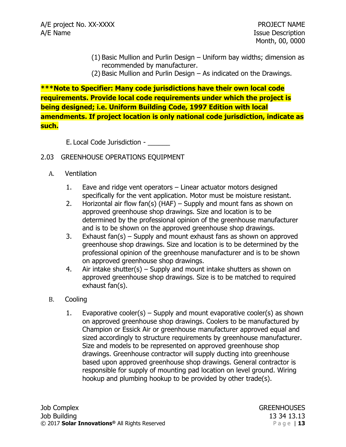- (1) Basic Mullion and Purlin Design Uniform bay widths; dimension as recommended by manufacturer.
- (2) Basic Mullion and Purlin Design As indicated on the Drawings.

**\*\*\*Note to Specifier: Many code jurisdictions have their own local code requirements. Provide local code requirements under which the project is being designed; i.e. Uniform Building Code, 1997 Edition with local amendments. If project location is only national code jurisdiction, indicate as such.**

E. Local Code Jurisdiction -

# 2.03 GREENHOUSE OPERATIONS EQUIPMENT

- A. Ventilation
	- 1. Eave and ridge vent operators Linear actuator motors designed specifically for the vent application. Motor must be moisture resistant.
	- 2. Horizontal air flow  $fan(s)$  (HAF) Supply and mount fans as shown on approved greenhouse shop drawings. Size and location is to be determined by the professional opinion of the greenhouse manufacturer and is to be shown on the approved greenhouse shop drawings.
	- 3. Exhaust fan(s) Supply and mount exhaust fans as shown on approved greenhouse shop drawings. Size and location is to be determined by the professional opinion of the greenhouse manufacturer and is to be shown on approved greenhouse shop drawings.
	- 4. Air intake shutter(s)  $-$  Supply and mount intake shutters as shown on approved greenhouse shop drawings. Size is to be matched to required exhaust fan(s).
- B. Cooling
	- 1. Evaporative cooler(s) Supply and mount evaporative cooler(s) as shown on approved greenhouse shop drawings. Coolers to be manufactured by Champion or Essick Air or greenhouse manufacturer approved equal and sized accordingly to structure requirements by greenhouse manufacturer. Size and models to be represented on approved greenhouse shop drawings. Greenhouse contractor will supply ducting into greenhouse based upon approved greenhouse shop drawings. General contractor is responsible for supply of mounting pad location on level ground. Wiring hookup and plumbing hookup to be provided by other trade(s).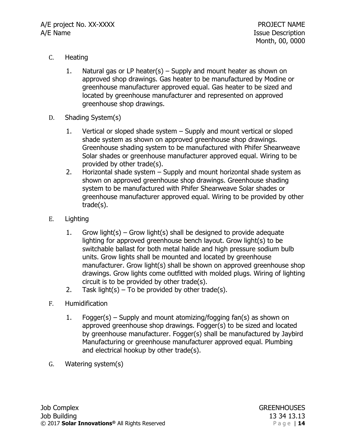- C. Heating
	- 1. Natural gas or LP heater(s) Supply and mount heater as shown on approved shop drawings. Gas heater to be manufactured by Modine or greenhouse manufacturer approved equal. Gas heater to be sized and located by greenhouse manufacturer and represented on approved greenhouse shop drawings.
- D. Shading System(s)
	- 1. Vertical or sloped shade system Supply and mount vertical or sloped shade system as shown on approved greenhouse shop drawings. Greenhouse shading system to be manufactured with Phifer Shearweave Solar shades or greenhouse manufacturer approved equal. Wiring to be provided by other trade(s).
	- 2. Horizontal shade system Supply and mount horizontal shade system as shown on approved greenhouse shop drawings. Greenhouse shading system to be manufactured with Phifer Shearweave Solar shades or greenhouse manufacturer approved equal. Wiring to be provided by other trade(s).
- E. Lighting
	- 1. Grow light(s) Grow light(s) shall be designed to provide adequate lighting for approved greenhouse bench layout. Grow light(s) to be switchable ballast for both metal halide and high pressure sodium bulb units. Grow lights shall be mounted and located by greenhouse manufacturer. Grow light(s) shall be shown on approved greenhouse shop drawings. Grow lights come outfitted with molded plugs. Wiring of lighting circuit is to be provided by other trade(s).
	- 2. Task light(s) To be provided by other trade(s).
- F. Humidification
	- 1. Fogger(s) Supply and mount atomizing/fogging fan(s) as shown on approved greenhouse shop drawings. Fogger(s) to be sized and located by greenhouse manufacturer. Fogger(s) shall be manufactured by Jaybird Manufacturing or greenhouse manufacturer approved equal. Plumbing and electrical hookup by other trade(s).
- G. Watering system(s)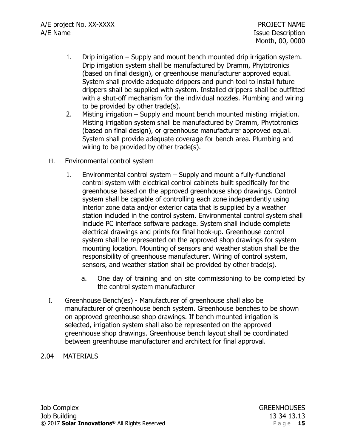- 1. Drip irrigation Supply and mount bench mounted drip irrigation system. Drip irrigation system shall be manufactured by Dramm, Phytotronics (based on final design), or greenhouse manufacturer approved equal. System shall provide adequate drippers and punch tool to install future drippers shall be supplied with system. Installed drippers shall be outfitted with a shut-off mechanism for the individual nozzles. Plumbing and wiring to be provided by other trade(s).
- 2. Misting irrigation Supply and mount bench mounted misting irrigiation. Misting irrigation system shall be manufactured by Dramm, Phytotronics (based on final design), or greenhouse manufacturer approved equal. System shall provide adequate coverage for bench area. Plumbing and wiring to be provided by other trade(s).
- H. Environmental control system
	- 1. Environmental control system Supply and mount a fully-functional control system with electrical control cabinets built specifically for the greenhouse based on the approved greenhouse shop drawings. Control system shall be capable of controlling each zone independently using interior zone data and/or exterior data that is supplied by a weather station included in the control system. Environmental control system shall include PC interface software package. System shall include complete electrical drawings and prints for final hook-up. Greenhouse control system shall be represented on the approved shop drawings for system mounting location. Mounting of sensors and weather station shall be the responsibility of greenhouse manufacturer. Wiring of control system, sensors, and weather station shall be provided by other trade(s).
		- a. One day of training and on site commissioning to be completed by the control system manufacturer
- I. Greenhouse Bench(es) Manufacturer of greenhouse shall also be manufacturer of greenhouse bench system. Greenhouse benches to be shown on approved greenhouse shop drawings. If bench mounted irrigation is selected, irrigation system shall also be represented on the approved greenhouse shop drawings. Greenhouse bench layout shall be coordinated between greenhouse manufacturer and architect for final approval.
- 2.04 MATERIALS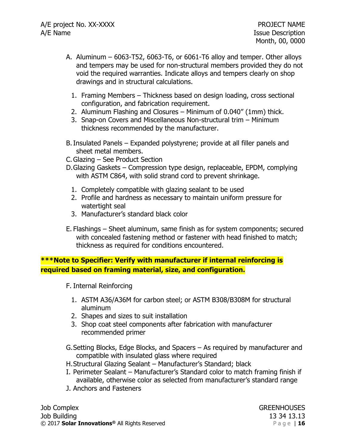- A. Aluminum 6063-T52, 6063-T6, or 6061-T6 alloy and temper. Other alloys and tempers may be used for non-structural members provided they do not void the required warranties. Indicate alloys and tempers clearly on shop drawings and in structural calculations.
	- 1. Framing Members Thickness based on design loading, cross sectional configuration, and fabrication requirement.
	- 2. Aluminum Flashing and Closures Minimum of 0.040" (1mm) thick.
	- 3. Snap-on Covers and Miscellaneous Non-structural trim Minimum thickness recommended by the manufacturer.
- B.Insulated Panels Expanded polystyrene; provide at all filler panels and sheet metal members.
- C.Glazing See Product Section
- D.Glazing Gaskets Compression type design, replaceable, EPDM, complying with ASTM C864, with solid strand cord to prevent shrinkage.
	- 1. Completely compatible with glazing sealant to be used
	- 2. Profile and hardness as necessary to maintain uniform pressure for watertight seal
	- 3. Manufacturer's standard black color
- E. Flashings Sheet aluminum, same finish as for system components; secured with concealed fastening method or fastener with head finished to match; thickness as required for conditions encountered.

# **\*\*\*Note to Specifier: Verify with manufacturer if internal reinforcing is required based on framing material, size, and configuration.**

- F. Internal Reinforcing
	- 1. ASTM A36/A36M for carbon steel; or ASTM B308/B308M for structural aluminum
	- 2. Shapes and sizes to suit installation
	- 3. Shop coat steel components after fabrication with manufacturer recommended primer

G.Setting Blocks, Edge Blocks, and Spacers – As required by manufacturer and compatible with insulated glass where required

- H.Structural Glazing Sealant Manufacturer's Standard; black
- I. Perimeter Sealant Manufacturer's Standard color to match framing finish if available, otherwise color as selected from manufacturer's standard range
- J. Anchors and Fasteners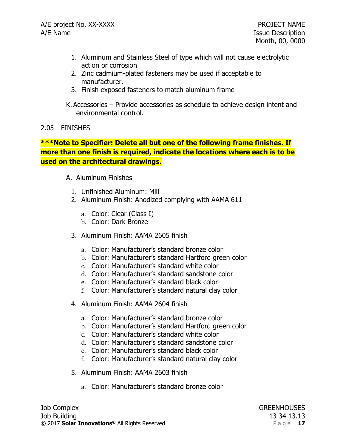- 1. Aluminum and Stainless Steel of type which will not cause electrolytic action or corrosion
- 2. Zinc cadmium-plated fasteners may be used if acceptable to manufacturer.
- 3. Finish exposed fasteners to match aluminum frame

K. Accessories – Provide accessories as schedule to achieve design intent and environmental control.

# 2.05 FINISHES

# **\*\*\*Note to Specifier: Delete all but one of the following frame finishes. If more than one finish is required, indicate the locations where each is to be used on the architectural drawings.**

# A. Aluminum Finishes

- 1. Unfinished Aluminum: Mill
- 2. Aluminum Finish: Anodized complying with AAMA 611
	- a. Color: Clear (Class I)
	- b. Color: Dark Bronze
- 3. Aluminum Finish: AAMA 2605 finish
	- a. Color: Manufacturer's standard bronze color
	- b. Color: Manufacturer's standard Hartford green color
	- c. Color: Manufacturer's standard white color
	- d. Color: Manufacturer's standard sandstone color
	- e. Color: Manufacturer's standard black color
	- f. Color: Manufacturer's standard natural clay color
- 4. Aluminum Finish: AAMA 2604 finish
	- a. Color: Manufacturer's standard bronze color
	- b. Color: Manufacturer's standard Hartford green color
	- c. Color: Manufacturer's standard white color
	- d. Color: Manufacturer's standard sandstone color
	- e. Color: Manufacturer's standard black color
	- f. Color: Manufacturer's standard natural clay color
- 5. Aluminum Finish: AAMA 2603 finish
	- a. Color: Manufacturer's standard bronze color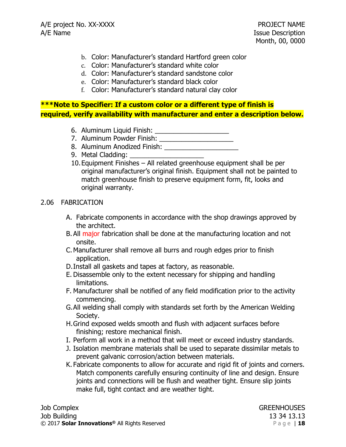- b. Color: Manufacturer's standard Hartford green color
- c. Color: Manufacturer's standard white color
- d. Color: Manufacturer's standard sandstone color
- e. Color: Manufacturer's standard black color
- f. Color: Manufacturer's standard natural clay color

# **\*\*\*Note to Specifier: If a custom color or a different type of finish is required, verify availability with manufacturer and enter a description below.**

- 6. Aluminum Liquid Finish: \_\_\_\_\_\_\_\_\_\_\_\_\_\_\_\_\_\_\_\_
- 7. Aluminum Powder Finish: \_\_\_\_\_\_\_\_\_\_\_\_\_\_\_\_\_\_\_\_
- 8. Aluminum Anodized Finish:
- 9. Metal Cladding:
- 10.Equipment Finishes All related greenhouse equipment shall be per original manufacturer's original finish. Equipment shall not be painted to match greenhouse finish to preserve equipment form, fit, looks and original warranty.

### 2.06 FABRICATION

- A. Fabricate components in accordance with the shop drawings approved by the architect.
- B. All major fabrication shall be done at the manufacturing location and not onsite.
- C.Manufacturer shall remove all burrs and rough edges prior to finish application.
- D.Install all gaskets and tapes at factory, as reasonable.
- E. Disassemble only to the extent necessary for shipping and handling limitations.
- F. Manufacturer shall be notified of any field modification prior to the activity commencing.
- G.All welding shall comply with standards set forth by the American Welding Society.
- H.Grind exposed welds smooth and flush with adjacent surfaces before finishing; restore mechanical finish.
- I. Perform all work in a method that will meet or exceed industry standards.
- J. Isolation membrane materials shall be used to separate dissimilar metals to prevent galvanic corrosion/action between materials.
- K. Fabricate components to allow for accurate and rigid fit of joints and corners. Match components carefully ensuring continuity of line and design. Ensure joints and connections will be flush and weather tight. Ensure slip joints make full, tight contact and are weather tight.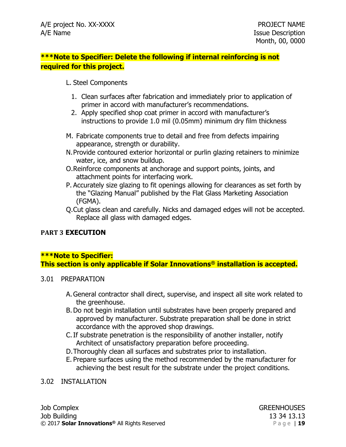# **\*\*\*Note to Specifier: Delete the following if internal reinforcing is not required for this project.**

### L. Steel Components

- 1. Clean surfaces after fabrication and immediately prior to application of primer in accord with manufacturer's recommendations.
- 2. Apply specified shop coat primer in accord with manufacturer's instructions to provide 1.0 mil (0.05mm) minimum dry film thickness
- M. Fabricate components true to detail and free from defects impairing appearance, strength or durability.
- N.Provide contoured exterior horizontal or purlin glazing retainers to minimize water, ice, and snow buildup.
- O.Reinforce components at anchorage and support points, joints, and attachment points for interfacing work.
- P. Accurately size glazing to fit openings allowing for clearances as set forth by the "Glazing Manual" published by the Flat Glass Marketing Association (FGMA).
- Q.Cut glass clean and carefully. Nicks and damaged edges will not be accepted. Replace all glass with damaged edges.

# **PART 3 EXECUTION**

# **\*\*\*Note to Specifier: This section is only applicable if Solar Innovations® installation is accepted.**

### 3.01 PREPARATION

- A.General contractor shall direct, supervise, and inspect all site work related to the greenhouse.
- B.Do not begin installation until substrates have been properly prepared and approved by manufacturer. Substrate preparation shall be done in strict accordance with the approved shop drawings.
- C.If substrate penetration is the responsibility of another installer, notify Architect of unsatisfactory preparation before proceeding.
- D.Thoroughly clean all surfaces and substrates prior to installation.
- E. Prepare surfaces using the method recommended by the manufacturer for achieving the best result for the substrate under the project conditions.

### 3.02 INSTALLATION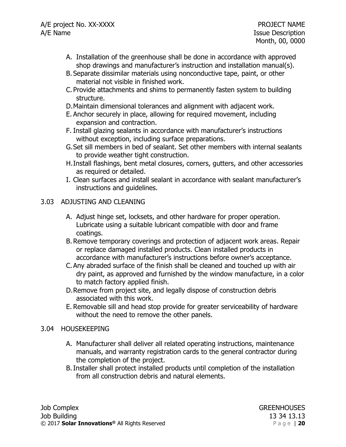- A. Installation of the greenhouse shall be done in accordance with approved shop drawings and manufacturer's instruction and installation manual(s).
- B. Separate dissimilar materials using nonconductive tape, paint, or other material not visible in finished work.
- C. Provide attachments and shims to permanently fasten system to building structure.
- D.Maintain dimensional tolerances and alignment with adjacent work.
- E. Anchor securely in place, allowing for required movement, including expansion and contraction.
- F. Install glazing sealants in accordance with manufacturer's instructions without exception, including surface preparations.
- G.Set sill members in bed of sealant. Set other members with internal sealants to provide weather tight construction.
- H.Install flashings, bent metal closures, corners, gutters, and other accessories as required or detailed.
- I. Clean surfaces and install sealant in accordance with sealant manufacturer's instructions and guidelines.

# 3.03 ADJUSTING AND CLEANING

- A. Adjust hinge set, locksets, and other hardware for proper operation. Lubricate using a suitable lubricant compatible with door and frame coatings.
- B. Remove temporary coverings and protection of adjacent work areas. Repair or replace damaged installed products. Clean installed products in accordance with manufacturer's instructions before owner's acceptance.
- C.Any abraded surface of the finish shall be cleaned and touched up with air dry paint, as approved and furnished by the window manufacture, in a color to match factory applied finish.
- D.Remove from project site, and legally dispose of construction debris associated with this work.
- E. Removable sill and head stop provide for greater serviceability of hardware without the need to remove the other panels.

### 3.04 HOUSEKEEPING

- A. Manufacturer shall deliver all related operating instructions, maintenance manuals, and warranty registration cards to the general contractor during the completion of the project.
- B.Installer shall protect installed products until completion of the installation from all construction debris and natural elements.